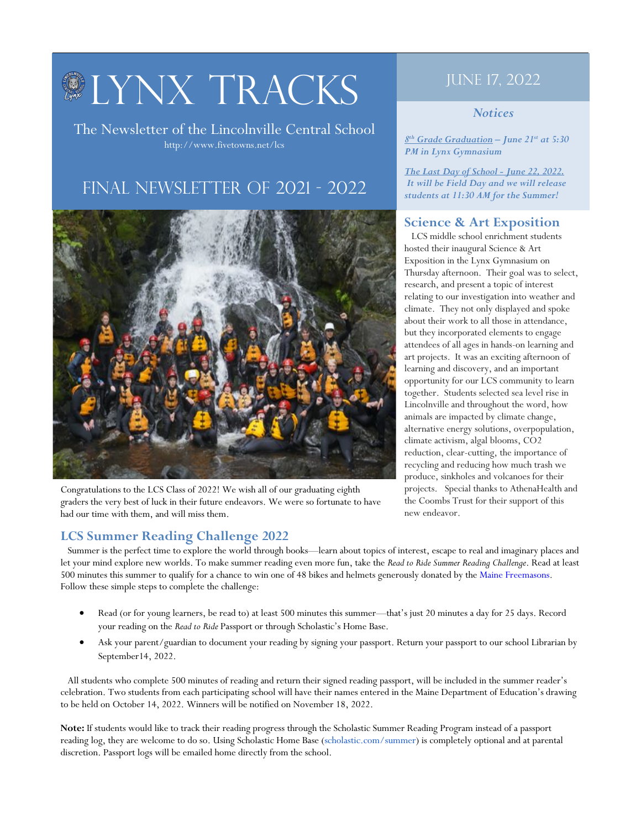# **OLYNX TRACKS**

The Newsletter of the Lincolnville Central School http://www.fivetowns.net/lcs

## FINAL NEWSLETTER OF 2021 - 2022



Congratulations to the LCS Class of 2022! We wish all of our graduating eighth graders the very best of luck in their future endeavors. We were so fortunate to have had our time with them, and will miss them.

### **LCS Summer Reading Challenge 2022**

## June 17, 2022

#### *Notices*

*8th Grade Graduation – June 21st at 5:30 PM in Lynx Gymnasium*

*The Last Day of School - June 22, 2022. It will be Field Day and we will release students at 11:30 AM for the Summer!*

## **Science & Art Exposition**

 LCS middle school enrichment students hosted their inaugural Science & Art Exposition in the Lynx Gymnasium on Thursday afternoon. Their goal was to select, research, and present a topic of interest relating to our investigation into weather and climate. They not only displayed and spoke about their work to all those in attendance, but they incorporated elements to engage attendees of all ages in hands-on learning and art projects. It was an exciting afternoon of learning and discovery, and an important opportunity for our LCS community to learn together. Students selected sea level rise in Lincolnville and throughout the word, how animals are impacted by climate change, alternative energy solutions, overpopulation, climate activism, algal blooms, CO2 reduction, clear-cutting, the importance of recycling and reducing how much trash we produce, sinkholes and volcanoes for their projects. Special thanks to AthenaHealth and the Coombs Trust for their support of this new endeavor.

 Summer is the perfect time to explore the world through books—learn about topics of interest, escape to real and imaginary places and let your mind explore new worlds. To make summer reading even more fun, take the *Read to Ride Summer Reading Challenge*. Read at least 500 minutes this summer to qualify for a chance to win one of 48 bikes and helmets generously donated by the Maine Freemasons. Follow these simple steps to complete the challenge:

- Read (or for young learners, be read to) at least 500 minutes this summer—that's just 20 minutes a day for 25 days. Record your reading on the *Read to Ride* Passport or through Scholastic's Home Base.
- Ask your parent/guardian to document your reading by signing your passport. Return your passport to our school Librarian by September14, 2022.

 All students who complete 500 minutes of reading and return their signed reading passport, will be included in the summer reader's celebration. Two students from each participating school will have their names entered in the Maine Department of Education's drawing to be held on October 14, 2022. Winners will be notified on November 18, 2022.

**Note:** If students would like to track their reading progress through the Scholastic Summer Reading Program instead of a passport reading log, they are welcome to do so. Using Scholastic Home Base (scholastic.com/summer) is completely optional and at parental discretion. Passport logs will be emailed home directly from the school.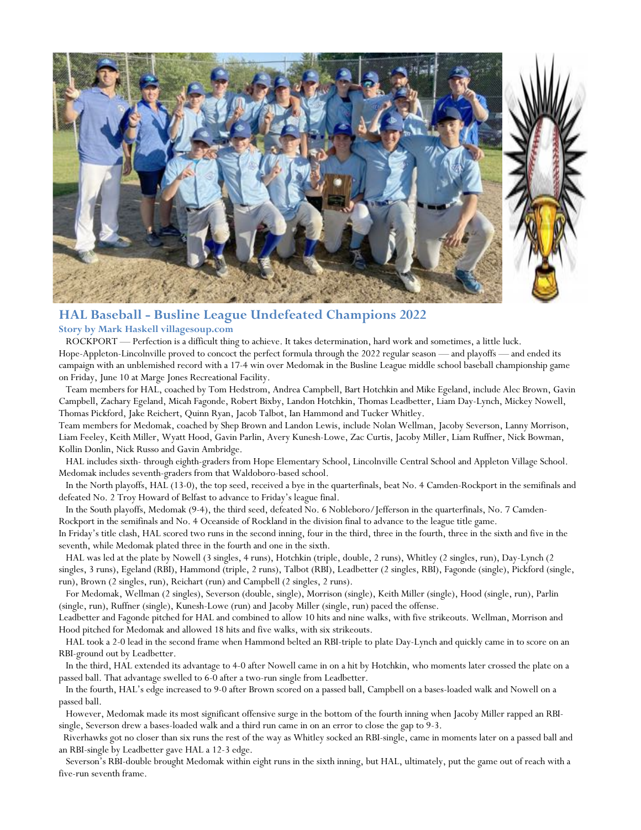

#### **HAL Baseball - Busline League Undefeated Champions 2022**

**Story by Mark Haskell villagesoup.com**

 ROCKPORT — Perfection is a difficult thing to achieve. It takes determination, hard work and sometimes, a little luck. Hope-Appleton-Lincolnville proved to concoct the perfect formula through the 2022 regular season — and playoffs — and ended its campaign with an unblemished record with a 17-4 win over Medomak in the Busline League middle school baseball championship game on Friday, June 10 at Marge Jones Recreational Facility.

 Team members for HAL, coached by Tom Hedstrom, Andrea Campbell, Bart Hotchkin and Mike Egeland, include Alec Brown, Gavin Campbell, Zachary Egeland, Micah Fagonde, Robert Bixby, Landon Hotchkin, Thomas Leadbetter, Liam Day-Lynch, Mickey Nowell, Thomas Pickford, Jake Reichert, Quinn Ryan, Jacob Talbot, Ian Hammond and Tucker Whitley.

Team members for Medomak, coached by Shep Brown and Landon Lewis, include Nolan Wellman, Jacoby Severson, Lanny Morrison, Liam Feeley, Keith Miller, Wyatt Hood, Gavin Parlin, Avery Kunesh-Lowe, Zac Curtis, Jacoby Miller, Liam Ruffner, Nick Bowman, Kollin Donlin, Nick Russo and Gavin Ambridge.

 HAL includes sixth- through eighth-graders from Hope Elementary School, Lincolnville Central School and Appleton Village School. Medomak includes seventh-graders from that Waldoboro-based school.

 In the North playoffs, HAL (13-0), the top seed, received a bye in the quarterfinals, beat No. 4 Camden-Rockport in the semifinals and defeated No. 2 Troy Howard of Belfast to advance to Friday's league final.

 In the South playoffs, Medomak (9-4), the third seed, defeated No. 6 Nobleboro/Jefferson in the quarterfinals, No. 7 Camden-Rockport in the semifinals and No. 4 Oceanside of Rockland in the division final to advance to the league title game.

In Friday's title clash, HAL scored two runs in the second inning, four in the third, three in the fourth, three in the sixth and five in the seventh, while Medomak plated three in the fourth and one in the sixth.

 HAL was led at the plate by Nowell (3 singles, 4 runs), Hotchkin (triple, double, 2 runs), Whitley (2 singles, run), Day-Lynch (2 singles, 3 runs), Egeland (RBI), Hammond (triple, 2 runs), Talbot (RBI), Leadbetter (2 singles, RBI), Fagonde (single), Pickford (single, run), Brown (2 singles, run), Reichart (run) and Campbell (2 singles, 2 runs).

 For Medomak, Wellman (2 singles), Severson (double, single), Morrison (single), Keith Miller (single), Hood (single, run), Parlin (single, run), Ruffner (single), Kunesh-Lowe (run) and Jacoby Miller (single, run) paced the offense.

Leadbetter and Fagonde pitched for HAL and combined to allow 10 hits and nine walks, with five strikeouts. Wellman, Morrison and Hood pitched for Medomak and allowed 18 hits and five walks, with six strikeouts.

 HAL took a 2-0 lead in the second frame when Hammond belted an RBI-triple to plate Day-Lynch and quickly came in to score on an RBI-ground out by Leadbetter.

 In the third, HAL extended its advantage to 4-0 after Nowell came in on a hit by Hotchkin, who moments later crossed the plate on a passed ball. That advantage swelled to 6-0 after a two-run single from Leadbetter.

 In the fourth, HAL's edge increased to 9-0 after Brown scored on a passed ball, Campbell on a bases-loaded walk and Nowell on a passed ball.

 However, Medomak made its most significant offensive surge in the bottom of the fourth inning when Jacoby Miller rapped an RBIsingle, Severson drew a bases-loaded walk and a third run came in on an error to close the gap to 9-3.

 Riverhawks got no closer than six runs the rest of the way as Whitley socked an RBI-single, came in moments later on a passed ball and an RBI-single by Leadbetter gave HAL a 12-3 edge.

 Severson's RBI-double brought Medomak within eight runs in the sixth inning, but HAL, ultimately, put the game out of reach with a five-run seventh frame.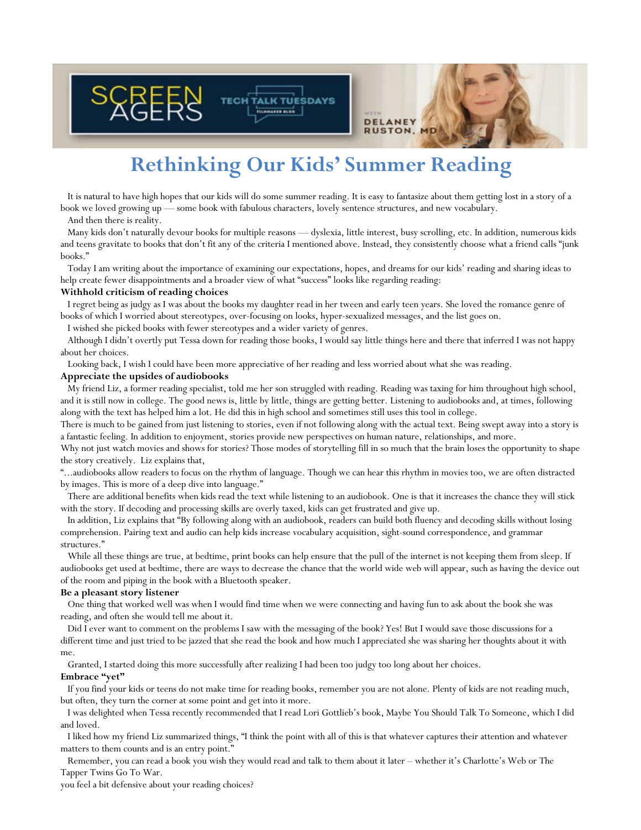## **Rethinking Our Kids' Summer Reading**

**DELANEY RUSTON, MD** 

**TALK TUESDAYS** 

 It is natural to have high hopes that our kids will do some summer reading. It is easy to fantasize about them getting lost in a story of a book we loved growing up — some book with fabulous characters, lovely sentence structures, and new vocabulary.

#### And then there is reality.

 Many kids don't naturally devour books for multiple reasons — dyslexia, little interest, busy scrolling, etc. In addition, numerous kids and teens gravitate to books that don't fit any of the criteria I mentioned above. Instead, they consistently choose what a friend calls "junk books."

 Today I am writing about the importance of examining our expectations, hopes, and dreams for our kids' reading and sharing ideas to help create fewer disappointments and a broader view of what "success" looks like regarding reading:

#### **Withhold criticism of reading choices**

 I regret being as judgy as I was about the books my daughter read in her tween and early teen years. She loved the romance genre of books of which I worried about stereotypes, over-focusing on looks, hyper-sexualized messages, and the list goes on.

I wished she picked books with fewer stereotypes and a wider variety of genres.

**TECH** 

 Although I didn't overtly put Tessa down for reading those books, I would say little things here and there that inferred I was not happy about her choices.

Looking back, I wish I could have been more appreciative of her reading and less worried about what she was reading.

#### **Appreciate the upsides of audiobooks**

 My friend Liz, a former reading specialist, told me her son struggled with reading. Reading was taxing for him throughout high school, and it is still now in college. The good news is, little by little, things are getting better. Listening to audiobooks and, at times, following along with the text has helped him a lot. He did this in high school and sometimes still uses this tool in college.

There is much to be gained from just listening to stories, even if not following along with the actual text. Being swept away into a story is a fantastic feeling. In addition to enjoyment, stories provide new perspectives on human nature, relationships, and more.

Why not just watch movies and shows for stories? Those modes of storytelling fill in so much that the brain loses the opportunity to shape the story creatively. Liz explains that,

"...audiobooks allow readers to focus on the rhythm of language. Though we can hear this rhythm in movies too, we are often distracted by images. This is more of a deep dive into language."

 There are additional benefits when kids read the text while listening to an audiobook. One is that it increases the chance they will stick with the story. If decoding and processing skills are overly taxed, kids can get frustrated and give up.

 In addition, Liz explains that "By following along with an audiobook, readers can build both fluency and decoding skills without losing comprehension. Pairing text and audio can help kids increase vocabulary acquisition, sight-sound correspondence, and grammar structures."

 While all these things are true, at bedtime, print books can help ensure that the pull of the internet is not keeping them from sleep. If audiobooks get used at bedtime, there are ways to decrease the chance that the world wide web will appear, such as having the device out of the room and piping in the book with a Bluetooth speaker.

#### **Be a pleasant story listener**

 One thing that worked well was when I would find time when we were connecting and having fun to ask about the book she was reading, and often she would tell me about it.

 Did I ever want to comment on the problems I saw with the messaging of the book? Yes! But I would save those discussions for a different time and just tried to be jazzed that she read the book and how much I appreciated she was sharing her thoughts about it with me.

Granted, I started doing this more successfully after realizing I had been too judgy too long about her choices.

#### **Embrace "yet"**

 If you find your kids or teens do not make time for reading books, remember you are not alone. Plenty of kids are not reading much, but often, they turn the corner at some point and get into it more.

 I was delighted when Tessa recently recommended that I read Lori Gottlieb's book, Maybe You Should Talk To Someone, which I did and loved.

 I liked how my friend Liz summarized things, "I think the point with all of this is that whatever captures their attention and whatever matters to them counts and is an entry point."

 Remember, you can read a book you wish they would read and talk to them about it later – whether it's Charlotte's Web or The Tapper Twins Go To War.

you feel a bit defensive about your reading choices?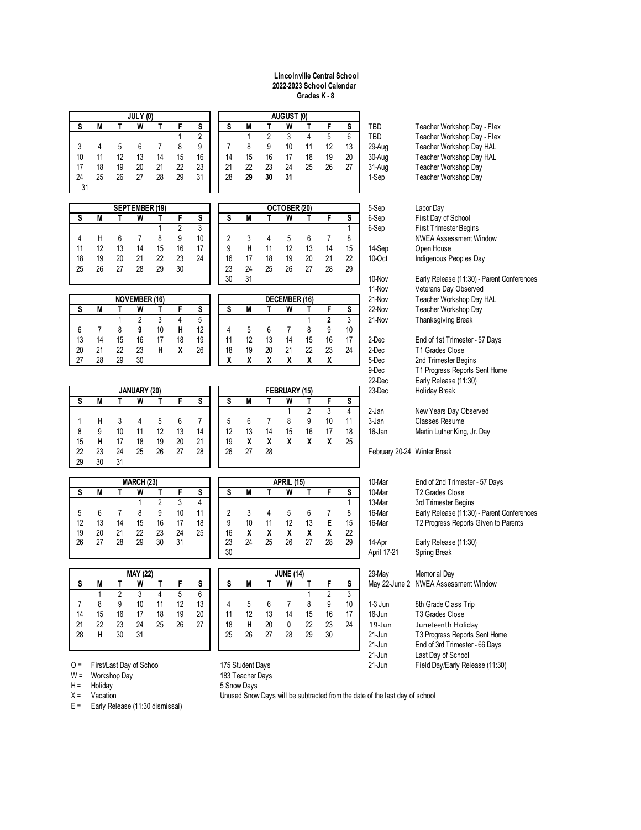#### **Lincolnville Central School 2022-2023 School Calendar Grades K - 8**

| JULY (0)   |                         |              |                       |                |                |                | AUGUST (0)              |                         |                |                         |                |                |                 |                             |                                            |  |  |
|------------|-------------------------|--------------|-----------------------|----------------|----------------|----------------|-------------------------|-------------------------|----------------|-------------------------|----------------|----------------|-----------------|-----------------------------|--------------------------------------------|--|--|
| S          | M                       | T            | W                     | T              | F              | S              | $\overline{\mathsf{s}}$ | $\overline{M}$          | T              | W                       | т              | F              | S               | TBD                         | Teacher Workshop Day - Flex                |  |  |
|            |                         |              |                       |                | 1              | $\overline{2}$ |                         | $\mathbf{1}$            | $\overline{2}$ | 3                       | $\overline{4}$ | $\overline{5}$ | $6\overline{6}$ | TBD                         | Teacher Workshop Day - Flex                |  |  |
| 3          | 4                       | 5            | 6                     | $\overline{7}$ | 8              | 9              | $\overline{7}$          | 8                       | 9              | 10                      | 11             | 12             | 13              | 29-Aug                      | Teacher Workshop Day HAL                   |  |  |
| 10         | 11                      | 12           | 13                    | 14             | 15             | 16             | 14                      | 15                      | 16             | 17                      | 18             | 19             | 20              | 30-Aug                      | Teacher Workshop Day HAL                   |  |  |
| 17         | 18                      | 19           | 20                    | 21             | 22             | 23             | 21                      | 22                      | 23             | 24                      | 25             | 26             | 27              | 31-Aug                      | Teacher Workshop Day                       |  |  |
| 24         | 25                      | 26           | 27                    | 28             | 29             | 31             | 28                      | 29                      | 30             | 31                      |                |                |                 | 1-Sep                       | Teacher Workshop Day                       |  |  |
| 31         |                         |              |                       |                |                |                |                         |                         |                |                         |                |                |                 |                             |                                            |  |  |
|            |                         |              |                       |                |                |                |                         |                         |                |                         |                |                |                 |                             |                                            |  |  |
|            |                         |              | <b>SEPTEMBER (19)</b> |                |                |                | OCTOBER (20)            |                         |                |                         |                |                |                 | 5-Sep                       | Labor Day                                  |  |  |
| S          | $\overline{\mathsf{M}}$ | T            | W                     | T              | F              | s              | S                       | M                       | T              | $\overline{\mathtt{w}}$ | T              | F              | S               | 6-Sep                       | First Day of School                        |  |  |
|            |                         |              |                       | $\overline{1}$ | $\overline{2}$ | 3              |                         |                         |                |                         |                |                | $\mathbf{1}$    | 6-Sep                       | <b>First Trimester Begins</b>              |  |  |
| 4          | Н                       | 6            | $\overline{7}$        | 8              | 9              | 10             | 2                       | 3                       | 4              | 5                       | 6              | $\overline{7}$ | 8               |                             | <b>NWEA Assessment Window</b>              |  |  |
| 11         | 12                      | 13           | 14                    | 15             | 16             | 17             | 9                       | $\mathsf{H}$            | 11             | 12                      | 13             | 14             | 15              | 14-Sep                      | Open House                                 |  |  |
| 18         | 19                      | 20           | 21                    | 22             | 23             | 24             | 16                      | 17                      | 18             | 19                      | 20             | 21             | 22              | 10-Oct                      | Indigenous Peoples Day                     |  |  |
| 25         | 26                      | 27           | 28                    | 29             | 30             |                | 23                      | 24                      | 25             | 26                      | 27             | 28             | 29              |                             |                                            |  |  |
|            |                         |              |                       |                |                |                | 30                      | 31                      |                |                         |                |                |                 | 10-Nov                      | Early Release (11:30) - Parent Conferences |  |  |
|            |                         |              |                       |                |                |                |                         |                         |                |                         |                |                |                 | 11-Nov                      | Veterans Day Observed                      |  |  |
|            |                         |              | <b>NOVEMBER (16)</b>  |                |                |                | DECEMBER (16)           |                         |                |                         |                |                |                 | 21-Nov                      | Teacher Workshop Day HAL                   |  |  |
| S          | M                       | Т            | W                     | Τ              | F              | S              | S                       | M                       | Т              | W                       | т              | F              | S               | 22-Nov                      | Teacher Workshop Day                       |  |  |
|            |                         | $\mathbf{1}$ | $\overline{2}$        | $\overline{3}$ | $\overline{4}$ | 5              |                         |                         |                |                         | $\mathbf{1}$   | $\overline{2}$ | 3               | 21-Nov                      | Thanksgiving Break                         |  |  |
| 6          | 7                       | 8            | 9                     | 10             | Н              | 12             | 4                       | 5                       | 6              | 7                       | 8              | 9              | 10              |                             |                                            |  |  |
| 13         | 14                      | 15           | 16                    | 17             | 18             | 19             | 11                      | 12                      | 13             | 14                      | 15             | 16             | 17              | 2-Dec                       | End of 1st Trimester - 57 Days             |  |  |
| 20         | 21                      | 22           | 23                    | н              | χ              | 26             | 18                      | 19                      | 20             | 21                      | 22             | 23             | 24              | 2-Dec                       | T1 Grades Close                            |  |  |
| 27         | 28                      | 29           | 30                    |                |                |                | χ                       | χ                       | χ              | χ                       | χ              | χ              |                 | 5-Dec                       | 2nd Trimester Begins                       |  |  |
|            |                         |              |                       |                |                |                |                         |                         |                |                         |                |                |                 | 9-Dec                       | T1 Progress Reports Sent Home              |  |  |
|            |                         |              |                       |                |                |                |                         |                         |                |                         |                |                |                 | 22-Dec                      | Early Release (11:30)                      |  |  |
|            |                         |              | <b>JANUARY (20)</b>   |                |                |                | FEBRUARY (15)           |                         |                |                         |                |                |                 | 23-Dec                      | Holiday Break                              |  |  |
| S          | $\overline{M}$          | T            | W                     | T              | F              | S              | $\overline{\mathbf{s}}$ | $\overline{\mathsf{M}}$ | Т              | W                       | T              | F              | S               |                             |                                            |  |  |
|            |                         |              |                       |                |                |                |                         |                         |                | $\mathbf{1}$            | $\overline{2}$ | 3              | 4               | 2-Jan                       | New Years Day Observed                     |  |  |
| 1          | н                       | 3            | 4                     | 5              | 6              | $\overline{7}$ | 5                       | 6                       | 7              | 8                       | 9              | 10             | 11              | 3-Jan                       | <b>Classes Resume</b>                      |  |  |
| 8          | 9                       | 10           | 11                    | 12             | 13             | 14             | 12                      | 13                      | 14             | 15                      | 16             | 17             | 18              | 16-Jan                      | Martin Luther King, Jr. Day                |  |  |
| 15         | Н                       | 17           | 18                    | 19             | 20             | 21             | 19                      | χ                       | χ              | χ                       | X              | X              | 25              |                             |                                            |  |  |
| 22         | 23                      | 24           | 25                    | 26             | 27             | 28             | 26                      | 27                      | 28             |                         |                |                |                 | February 20-24 Winter Break |                                            |  |  |
| 29         | 30                      | 31           |                       |                |                |                |                         |                         |                |                         |                |                |                 |                             |                                            |  |  |
| MARCH (23) |                         |              |                       |                |                |                |                         |                         |                | APRIL (15)              |                |                |                 | 10-Mar                      | End of 2nd Trimester - 57 Days             |  |  |
| S          | M                       | Т            | W                     | Т              | F              | S              | S                       | M                       | Т              | W                       | T              | F              | S               | 10-Mar                      | T <sub>2</sub> Grades Close                |  |  |
|            |                         |              | 1                     | $\overline{2}$ | 3              | 4              |                         |                         |                |                         |                |                | $\mathbf{1}$    | 13-Mar                      | 3rd Trimester Begins                       |  |  |
| 5          | 6                       | 7            | 8                     | 9              | 10             | 11             | 2                       | 3                       | 4              | 5                       | 6              | 7              | 8               | 16-Mar                      | Early Release (11:30) - Parent Conferences |  |  |
| 12         | 13                      | 14           | 15                    | 16             | 17             | 18             | 9                       | 10                      | 11             | 12                      | 13             | E              | 15              | 16-Mar                      | T2 Progress Reports Given to Parents       |  |  |
| 19         | 20                      | 21           | 22                    | 23             | 24             | 25             | 16                      | χ                       | χ              | χ                       | χ              | χ              | 22              |                             |                                            |  |  |
| 26         | 27                      | 28           | 29                    | 30             | 31             |                | 23                      | 24                      | 25             | 26                      | 27             | 28             | 29              | 14-Apr                      | Early Release (11:30)                      |  |  |
|            |                         |              |                       |                |                |                | 30                      |                         |                |                         |                |                |                 | April 17-21                 | Spring Break                               |  |  |
|            |                         |              |                       |                |                |                |                         |                         |                |                         |                |                |                 |                             |                                            |  |  |
|            |                         |              | <b>MAY (22)</b>       |                |                |                | <b>JUNE (14)</b>        |                         |                |                         |                |                |                 | 29-May                      | Memorial Day                               |  |  |

| 171/11<br>u-c |    |    |    |    |    |    |  |  |  |  |  |
|---------------|----|----|----|----|----|----|--|--|--|--|--|
| S             | M  |    | W  |    | F  | s  |  |  |  |  |  |
|               |    | 2  | 3  |    | 5  | 6  |  |  |  |  |  |
|               | 8  | 9  | 10 | 11 | 12 | 13 |  |  |  |  |  |
| 14            | 15 | 16 | 17 | 18 | 19 | 20 |  |  |  |  |  |
| 21            | 22 | 23 | 24 | 25 | 26 | 27 |  |  |  |  |  |
| 28            | н  | 30 | 31 |    |    |    |  |  |  |  |  |
|               |    |    |    |    |    |    |  |  |  |  |  |

- O = First/Last Day of School 175 Student Days<br>
W = Workshop Day<br>
213 Teacher Days
- W = Workshop Day 183 Teacher Days
- H = Holiday 5 Snow Days

 $\mathsf{r}$ 

- 
- E = Early Release (11:30 dismissal)

|                               |    |    | MAY (22) |    |    |    |    |                  |    | JUNE (14) |    |    | 29-May | Memonal Day |                                      |
|-------------------------------|----|----|----------|----|----|----|----|------------------|----|-----------|----|----|--------|-------------|--------------------------------------|
| s                             |    |    | W        |    |    | s  |    | М                |    | W         |    |    | е      |             | May 22-June 2 NWEA Assessment Window |
|                               |    |    |          |    |    |    |    |                  |    |           |    |    |        |             |                                      |
|                               |    |    | 10       |    | 12 | 13 |    |                  |    |           |    |    | 10     | $1-3$ Jun   | 8th Grade Class Trip                 |
| 14                            | 15 | 16 |          | 18 | 19 | 20 | 11 | 12               | 13 |           | 15 | 16 |        | $16$ -Jun   | T <sub>3</sub> Grades Close          |
| 21                            | 22 | 23 | 24       | 25 | 26 | 27 | 18 | н                | 20 |           | 22 | 23 | 24     | $19$ -Jun   | Juneteenth Holiday                   |
| 28                            | н  | 30 | 31       |    |    |    | 25 | 26               |    | 28        | 29 | 30 |        | 21-Jun      | T3 Progress Reports Sent Home        |
|                               |    |    |          |    |    |    |    |                  |    |           |    |    |        | 21-Jun      | End of 3rd Trimester - 66 Days       |
|                               |    |    |          |    |    |    |    |                  |    |           |    |    |        | 21-Jun      | Last Day of School                   |
| First/Last Day of School<br>Ξ |    |    |          |    |    |    |    | 175 Student Davs |    |           |    |    |        | 21-Jun      | Field Day/Early Release (11:30)      |

| 10-Mar      | End of 2nd Trimester - 57 Days                       |
|-------------|------------------------------------------------------|
| 10-Mar      | T <sub>2</sub> Grades Close                          |
| 13-Mar      | 3rd Trimester Begins                                 |
| 16-Mar      | Early Release (11:30) - Parent Conferen              |
| 16-Mar      | T2 Progress Reports Given to Parents                 |
| 14-Apr      | Early Release (11:30)                                |
| April 17-21 | Spring Break                                         |
| 29-May      | Memorial Day<br>May 22-June 2 NWEA Assessment Window |
| 1-3 Jun     | 8th Grade Class Trip                                 |
| 16-Jun      | T <sub>3</sub> Grades Close                          |
| $19$ -Jun   | Juneteenth Holiday                                   |
| 21-Jun      | T3 Progress Reports Sent Home                        |
| 21-Jun      | End of 3rd Trimester - 66 Days                       |
| 21-Jun      | Last Day of School                                   |
| 21-Jun      | Field Day/Early Release (11:30)                      |

- 
-